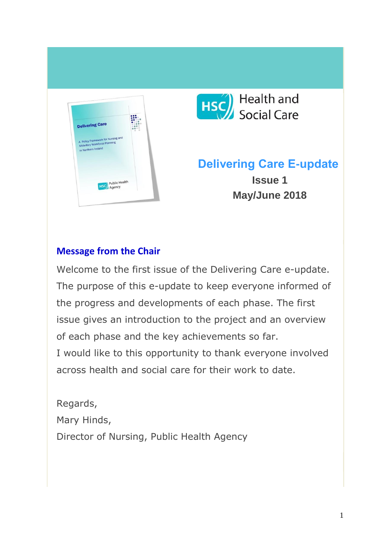



# **Delivering Care E-update Issue 1 May/June 2018**

#### **Message from the Chair**

Welcome to the first issue of the Delivering Care e-update. The purpose of this e-update to keep everyone informed of the progress and developments of each phase. The first issue gives an introduction to the project and an overview of each phase and the key achievements so far. I would like to this opportunity to thank everyone involved across health and social care for their work to date.

Regards, Mary Hinds, Director of Nursing, Public Health Agency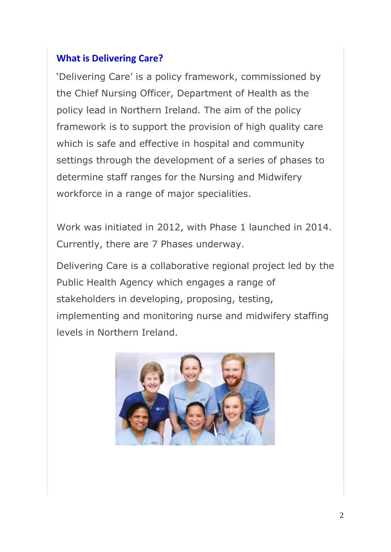#### **What is Delivering Care?**

'Delivering Care' is a policy framework, commissioned by the Chief Nursing Officer, Department of Health as the policy lead in Northern Ireland. The aim of the policy framework is to support the provision of high quality care which is safe and effective in hospital and community settings through the development of a series of phases to determine staff ranges for the Nursing and Midwifery workforce in a range of major specialities.

Work was initiated in 2012, with Phase 1 launched in 2014. Currently, there are 7 Phases underway.

Delivering Care is a collaborative regional project led by the Public Health Agency which engages a range of stakeholders in developing, proposing, testing, implementing and monitoring nurse and midwifery staffing levels in Northern Ireland.

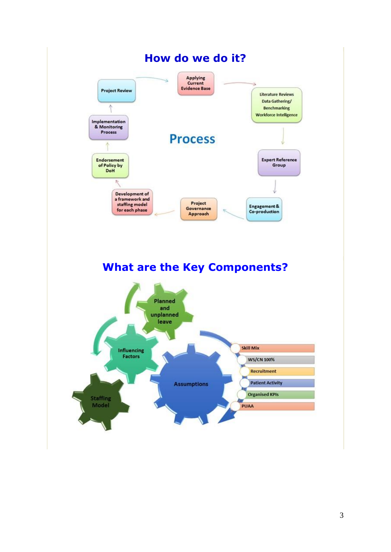

### **What are the Key Components?**

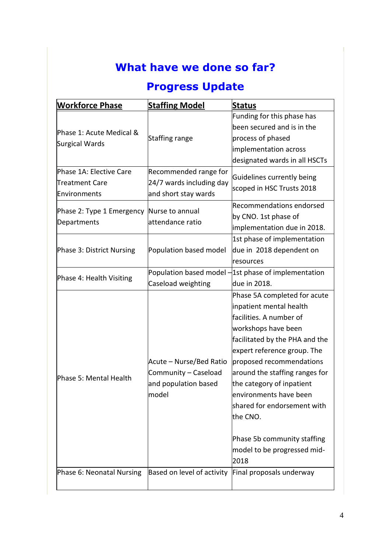# **What have we done so far?**

## **Progress Update**

| <b>Workforce Phase</b>                     | <b>Staffing Model</b>                            | <b>Status</b>                                          |
|--------------------------------------------|--------------------------------------------------|--------------------------------------------------------|
| Phase 1: Acute Medical &<br>Surgical Wards | Staffing range                                   | Funding for this phase has                             |
|                                            |                                                  | been secured and is in the                             |
|                                            |                                                  | process of phased                                      |
|                                            |                                                  | implementation across                                  |
|                                            |                                                  | designated wards in all HSCTs                          |
| Phase 1A: Elective Care                    | Recommended range for                            | Guidelines currently being                             |
| <b>Treatment Care</b>                      | 24/7 wards including day<br>and short stay wards | scoped in HSC Trusts 2018                              |
| Environments                               |                                                  |                                                        |
| Phase 2: Type 1 Emergency<br>Departments   | Nurse to annual<br>attendance ratio              | Recommendations endorsed                               |
|                                            |                                                  | by CNO. 1st phase of                                   |
|                                            |                                                  | implementation due in 2018.                            |
| Phase 3: District Nursing                  | Population based model                           | 1st phase of implementation                            |
|                                            |                                                  | due in 2018 dependent on                               |
|                                            |                                                  | resources                                              |
| Phase 4: Health Visiting                   |                                                  | Population based model $-1$ st phase of implementation |
|                                            | Caseload weighting                               | due in 2018.                                           |
|                                            |                                                  | Phase 5A completed for acute                           |
|                                            |                                                  | inpatient mental health                                |
|                                            |                                                  | facilities. A number of                                |
|                                            |                                                  | workshops have been                                    |
| Phase 5: Mental Health                     |                                                  | facilitated by the PHA and the                         |
|                                            |                                                  | expert reference group. The                            |
|                                            | Acute - Nurse/Bed Ratio                          | proposed recommendations                               |
|                                            | Community - Caseload                             | around the staffing ranges for                         |
|                                            | and population based                             | the category of inpatient                              |
|                                            | model                                            | environments have been                                 |
|                                            |                                                  | shared for endorsement with                            |
|                                            |                                                  | the CNO.                                               |
|                                            |                                                  |                                                        |
|                                            |                                                  | Phase 5b community staffing                            |
|                                            |                                                  | model to be progressed mid-                            |
|                                            |                                                  | 2018                                                   |
| Phase 6: Neonatal Nursing                  | Based on level of activity                       | Final proposals underway                               |
|                                            |                                                  |                                                        |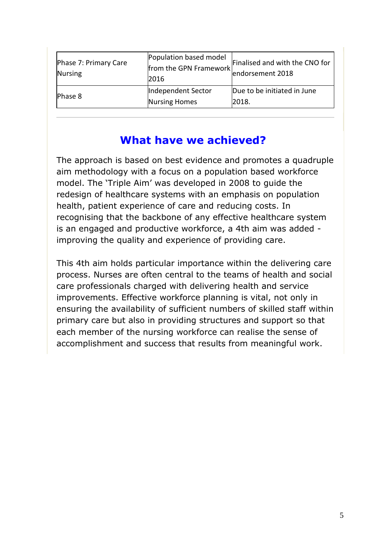| Phase 7: Primary Care<br>Nursing | Population based model<br>from the GPN Framework<br>2016 | Finalised and with the CNO for<br>endorsement 2018 |
|----------------------------------|----------------------------------------------------------|----------------------------------------------------|
| Phase 8                          | Independent Sector<br>Nursing Homes                      | Due to be initiated in June<br>2018.               |

### **What have we achieved?**

The approach is based on best evidence and promotes a quadruple aim methodology with a focus on a population based workforce model. The 'Triple Aim' was developed in 2008 to guide the redesign of healthcare systems with an emphasis on population health, patient experience of care and reducing costs. In recognising that the backbone of any effective healthcare system is an engaged and productive workforce, a 4th aim was added improving the quality and experience of providing care.

This 4th aim holds particular importance within the delivering care process. Nurses are often central to the teams of health and social care professionals charged with delivering health and service improvements. Effective workforce planning is vital, not only in ensuring the availability of sufficient numbers of skilled staff within primary care but also in providing structures and support so that each member of the nursing workforce can realise the sense of accomplishment and success that results from meaningful work.